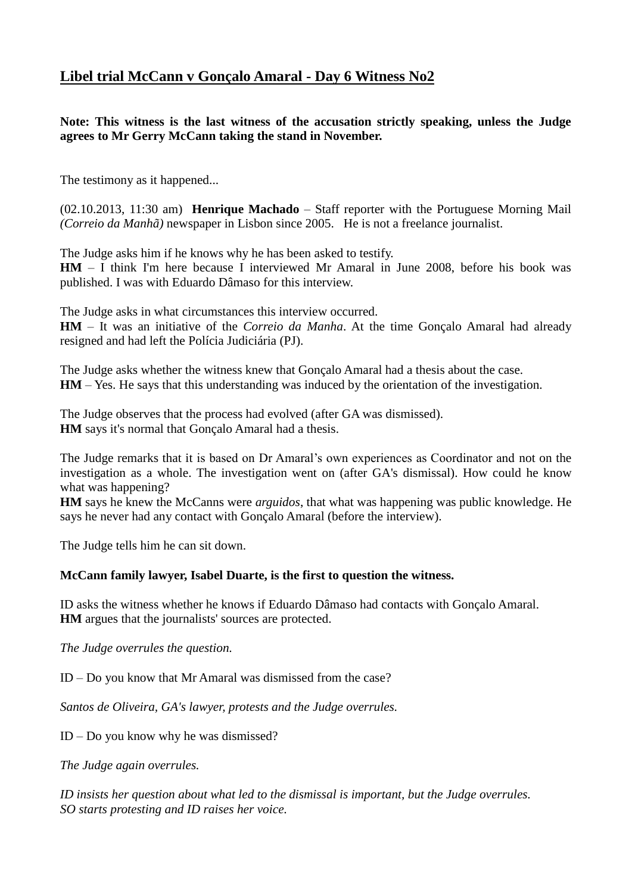## **Libel trial McCann v Gonçalo Amaral - Day 6 Witness No2**

**Note: This witness is the last witness of the accusation strictly speaking, unless the Judge agrees to Mr Gerry McCann taking the stand in November.**

The testimony as it happened...

(02.10.2013, 11:30 am) **Henrique Machado** – Staff reporter with the Portuguese Morning Mail *(Correio da Manhã)* newspaper in Lisbon since 2005. He is not a freelance journalist.

The Judge asks him if he knows why he has been asked to testify.

**HM** – I think I'm here because I interviewed Mr Amaral in June 2008, before his book was published. I was with Eduardo Dâmaso for this interview.

The Judge asks in what circumstances this interview occurred.

**HM** – It was an initiative of the *Correio da Manha*. At the time Gonçalo Amaral had already resigned and had left the Polícia Judiciária (PJ).

The Judge asks whether the witness knew that Gonçalo Amaral had a thesis about the case. **HM** – Yes. He says that this understanding was induced by the orientation of the investigation.

The Judge observes that the process had evolved (after GA was dismissed). **HM** says it's normal that Gonçalo Amaral had a thesis.

The Judge remarks that it is based on Dr Amaral's own experiences as Coordinator and not on the investigation as a whole. The investigation went on (after GA's dismissal). How could he know what was happening?

**HM** says he knew the McCanns were *arguidos*, that what was happening was public knowledge. He says he never had any contact with Gonçalo Amaral (before the interview).

The Judge tells him he can sit down.

## **McCann family lawyer, Isabel Duarte, is the first to question the witness.**

ID asks the witness whether he knows if Eduardo Dâmaso had contacts with Gonçalo Amaral. **HM** argues that the journalists' sources are protected.

*The Judge overrules the question.*

ID – Do you know that Mr Amaral was dismissed from the case?

*Santos de Oliveira, GA's lawyer, protests and the Judge overrules.*

ID – Do you know why he was dismissed?

*The Judge again overrules.*

*ID insists her question about what led to the dismissal is important, but the Judge overrules. SO starts protesting and ID raises her voice.*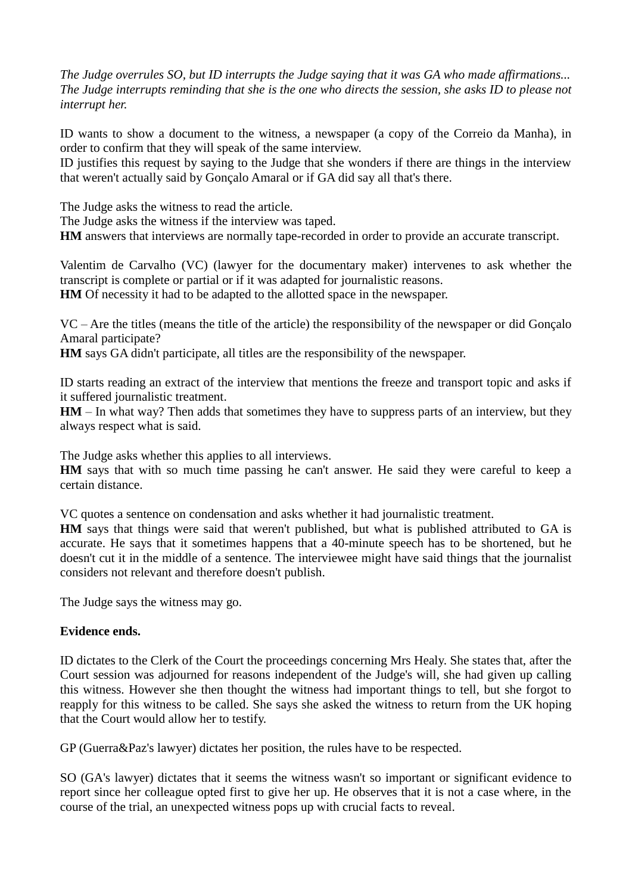*The Judge overrules SO, but ID interrupts the Judge saying that it was GA who made affirmations... The Judge interrupts reminding that she is the one who directs the session, she asks ID to please not interrupt her.*

ID wants to show a document to the witness, a newspaper (a copy of the Correio da Manha), in order to confirm that they will speak of the same interview.

ID justifies this request by saying to the Judge that she wonders if there are things in the interview that weren't actually said by Gonçalo Amaral or if GA did say all that's there.

The Judge asks the witness to read the article.

The Judge asks the witness if the interview was taped.

**HM** answers that interviews are normally tape-recorded in order to provide an accurate transcript.

Valentim de Carvalho (VC) (lawyer for the documentary maker) intervenes to ask whether the transcript is complete or partial or if it was adapted for journalistic reasons.

**HM** Of necessity it had to be adapted to the allotted space in the newspaper.

VC – Are the titles (means the title of the article) the responsibility of the newspaper or did Gonçalo Amaral participate?

**HM** says GA didn't participate, all titles are the responsibility of the newspaper.

ID starts reading an extract of the interview that mentions the freeze and transport topic and asks if it suffered journalistic treatment.

**HM** – In what way? Then adds that sometimes they have to suppress parts of an interview, but they always respect what is said.

The Judge asks whether this applies to all interviews.

**HM** says that with so much time passing he can't answer. He said they were careful to keep a certain distance.

VC quotes a sentence on condensation and asks whether it had journalistic treatment.

**HM** says that things were said that weren't published, but what is published attributed to GA is accurate. He says that it sometimes happens that a 40-minute speech has to be shortened, but he doesn't cut it in the middle of a sentence. The interviewee might have said things that the journalist considers not relevant and therefore doesn't publish.

The Judge says the witness may go.

## **Evidence ends.**

ID dictates to the Clerk of the Court the proceedings concerning Mrs Healy. She states that, after the Court session was adjourned for reasons independent of the Judge's will, she had given up calling this witness. However she then thought the witness had important things to tell, but she forgot to reapply for this witness to be called. She says she asked the witness to return from the UK hoping that the Court would allow her to testify.

GP (Guerra&Paz's lawyer) dictates her position, the rules have to be respected.

SO (GA's lawyer) dictates that it seems the witness wasn't so important or significant evidence to report since her colleague opted first to give her up. He observes that it is not a case where, in the course of the trial, an unexpected witness pops up with crucial facts to reveal.